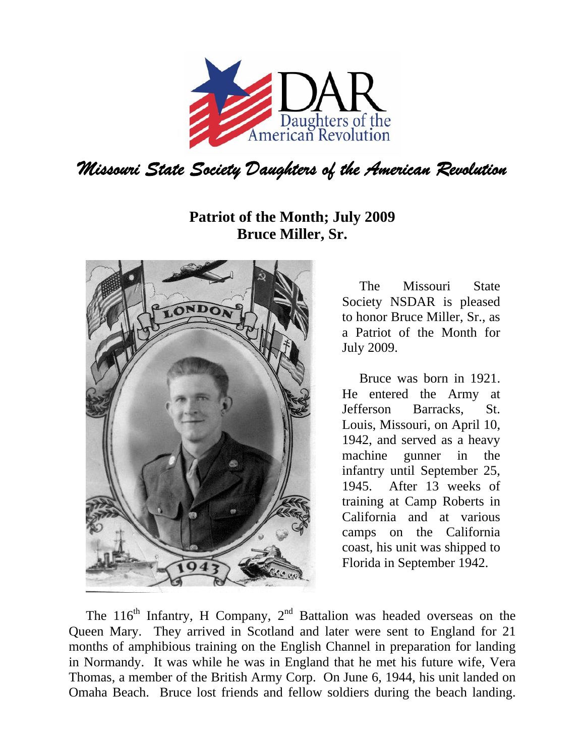

## **Patriot of the Month; July 2009 Bruce Miller, Sr.**



The Missouri State Society NSDAR is pleased to honor Bruce Miller, Sr., as a Patriot of the Month for July 2009.

Bruce was born in 1921. He entered the Army at Jefferson Barracks, St. Louis, Missouri, on April 10, 1942, and served as a heavy machine gunner in the infantry until September 25, 1945. After 13 weeks of training at Camp Roberts in California and at various camps on the California coast, his unit was shipped to Florida in September 1942.

The  $116<sup>th</sup>$  Infantry, H Company,  $2<sup>nd</sup>$  Battalion was headed overseas on the Queen Mary. They arrived in Scotland and later were sent to England for 21 months of amphibious training on the English Channel in preparation for landing in Normandy. It was while he was in England that he met his future wife, Vera Thomas, a member of the British Army Corp. On June 6, 1944, his unit landed on Omaha Beach. Bruce lost friends and fellow soldiers during the beach landing.